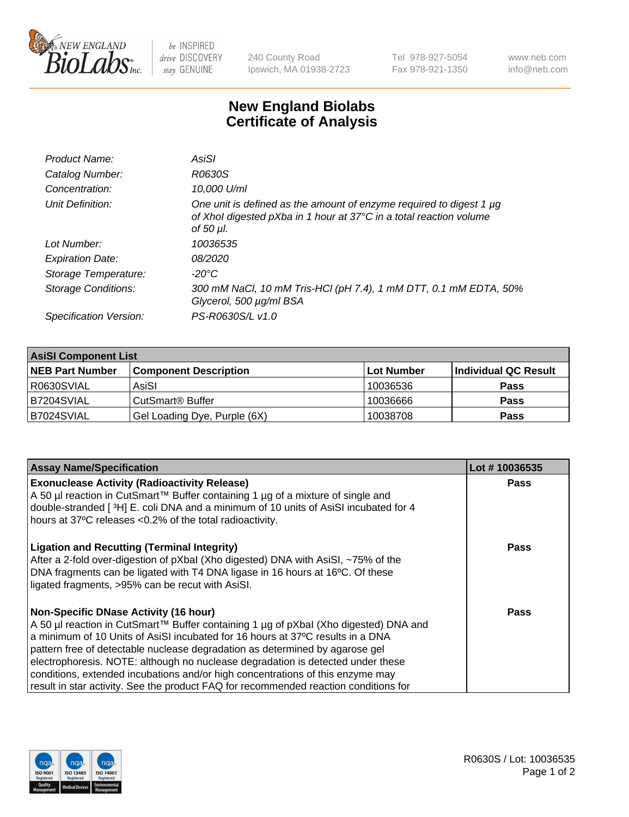

 $be$  INSPIRED drive DISCOVERY stay GENUINE

240 County Road Ipswich, MA 01938-2723 Tel 978-927-5054 Fax 978-921-1350 www.neb.com info@neb.com

## **New England Biolabs Certificate of Analysis**

| Product Name:           | AsiSI                                                                                                                                                       |
|-------------------------|-------------------------------------------------------------------------------------------------------------------------------------------------------------|
| Catalog Number:         | R0630S                                                                                                                                                      |
| Concentration:          | 10,000 U/ml                                                                                                                                                 |
| Unit Definition:        | One unit is defined as the amount of enzyme required to digest 1 µg<br>of Xhol digested pXba in 1 hour at 37°C in a total reaction volume<br>of 50 $\mu$ l. |
| Lot Number:             | 10036535                                                                                                                                                    |
| <b>Expiration Date:</b> | <i>08/2020</i>                                                                                                                                              |
| Storage Temperature:    | $-20^{\circ}$ C                                                                                                                                             |
| Storage Conditions:     | 300 mM NaCl, 10 mM Tris-HCl (pH 7.4), 1 mM DTT, 0.1 mM EDTA, 50%<br>Glycerol, 500 µg/ml BSA                                                                 |
| Specification Version:  | PS-R0630S/L v1.0                                                                                                                                            |

| <b>AsiSI Component List</b> |                              |            |                      |  |  |
|-----------------------------|------------------------------|------------|----------------------|--|--|
| <b>NEB Part Number</b>      | <b>Component Description</b> | Lot Number | Individual QC Result |  |  |
| R0630SVIAL                  | AsiSI                        | 10036536   | <b>Pass</b>          |  |  |
| B7204SVIAL                  | CutSmart <sup>®</sup> Buffer | 10036666   | <b>Pass</b>          |  |  |
| B7024SVIAL                  | Gel Loading Dye, Purple (6X) | 10038708   | <b>Pass</b>          |  |  |

| <b>Assay Name/Specification</b>                                                                                                                                                                                                                                              | Lot #10036535 |
|------------------------------------------------------------------------------------------------------------------------------------------------------------------------------------------------------------------------------------------------------------------------------|---------------|
| <b>Exonuclease Activity (Radioactivity Release)</b><br>A 50 µl reaction in CutSmart™ Buffer containing 1 µg of a mixture of single and                                                                                                                                       | Pass          |
| double-stranded [3H] E. coli DNA and a minimum of 10 units of AsiSI incubated for 4<br>hours at 37°C releases <0.2% of the total radioactivity.                                                                                                                              |               |
| <b>Ligation and Recutting (Terminal Integrity)</b><br>After a 2-fold over-digestion of pXbal (Xho digested) DNA with AsiSI, ~75% of the<br>DNA fragments can be ligated with T4 DNA ligase in 16 hours at 16°C. Of these<br>ligated fragments, >95% can be recut with AsiSI. | Pass          |
| <b>Non-Specific DNase Activity (16 hour)</b>                                                                                                                                                                                                                                 | Pass          |
| A 50 µl reaction in CutSmart™ Buffer containing 1 µg of pXbal (Xho digested) DNA and                                                                                                                                                                                         |               |
| a minimum of 10 Units of AsiSI incubated for 16 hours at 37°C results in a DNA                                                                                                                                                                                               |               |
| pattern free of detectable nuclease degradation as determined by agarose gel                                                                                                                                                                                                 |               |
| electrophoresis. NOTE: although no nuclease degradation is detected under these                                                                                                                                                                                              |               |
| conditions, extended incubations and/or high concentrations of this enzyme may                                                                                                                                                                                               |               |
| result in star activity. See the product FAQ for recommended reaction conditions for                                                                                                                                                                                         |               |